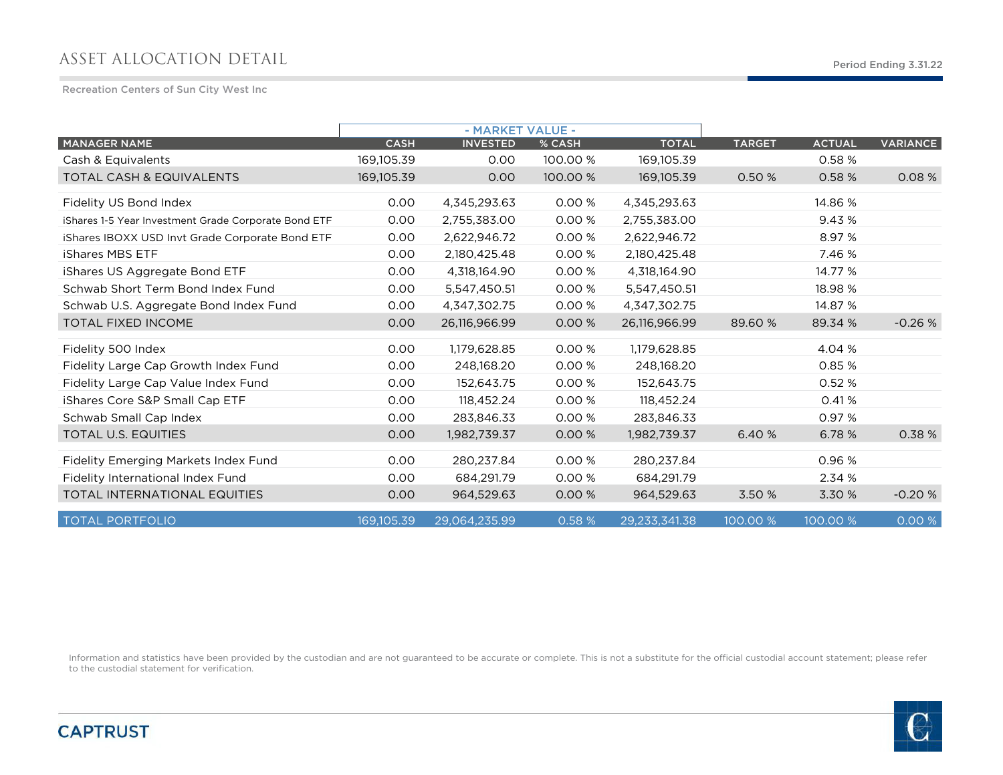## ASSET ALLOCATION DETAIL

Recreation Centers of Sun City West Inc

|                                                      |             | - MARKET VALUE - |          |               |               |               |                 |
|------------------------------------------------------|-------------|------------------|----------|---------------|---------------|---------------|-----------------|
| <b>MANAGER NAME</b>                                  | <b>CASH</b> | <b>INVESTED</b>  | % CASH   | <b>TOTAL</b>  | <b>TARGET</b> | <b>ACTUAL</b> | <b>VARIANCE</b> |
| Cash & Equivalents                                   | 169,105.39  | 0.00             | 100.00 % | 169,105.39    |               | 0.58 %        |                 |
| <b>TOTAL CASH &amp; EQUIVALENTS</b>                  | 169,105.39  | 0.00             | 100.00 % | 169.105.39    | 0.50 %        | 0.58 %        | 0.08%           |
| Fidelity US Bond Index                               | 0.00        | 4,345,293.63     | 0.00%    | 4,345,293.63  |               | 14.86 %       |                 |
| iShares 1-5 Year Investment Grade Corporate Bond ETF | 0.00        | 2,755,383.00     | 0.00 %   | 2,755,383.00  |               | 9.43%         |                 |
| iShares IBOXX USD Invt Grade Corporate Bond ETF      | 0.00        | 2,622,946.72     | 0.00%    | 2,622,946.72  |               | 8.97 %        |                 |
| <b>iShares MBS ETF</b>                               | 0.00        | 2,180,425.48     | 0.00%    | 2,180,425.48  |               | 7.46 %        |                 |
| iShares US Aggregate Bond ETF                        | 0.00        | 4,318,164.90     | 0.00%    | 4,318,164.90  |               | 14.77 %       |                 |
| Schwab Short Term Bond Index Fund                    | 0.00        | 5,547,450.51     | 0.00 %   | 5,547,450.51  |               | 18.98 %       |                 |
| Schwab U.S. Aggregate Bond Index Fund                | 0.00        | 4,347,302.75     | 0.00 %   | 4,347,302.75  |               | 14.87 %       |                 |
| <b>TOTAL FIXED INCOME</b>                            | 0.00        | 26,116,966.99    | 0.00 %   | 26,116,966.99 | 89.60 %       | 89.34 %       | $-0.26%$        |
| Fidelity 500 Index                                   | 0.00        | 1,179,628.85     | 0.00%    | 1,179,628.85  |               | 4.04 %        |                 |
| Fidelity Large Cap Growth Index Fund                 | 0.00        | 248.168.20       | 0.00%    | 248.168.20    |               | 0.85 %        |                 |
| Fidelity Large Cap Value Index Fund                  | 0.00        | 152.643.75       | 0.00%    | 152.643.75    |               | 0.52 %        |                 |
| iShares Core S&P Small Cap ETF                       | 0.00        | 118,452.24       | 0.00 %   | 118,452.24    |               | 0.41%         |                 |
| Schwab Small Cap Index                               | 0.00        | 283,846.33       | 0.00 %   | 283,846.33    |               | 0.97 %        |                 |
| <b>TOTAL U.S. EQUITIES</b>                           | 0.00        | 1,982,739.37     | 0.00 %   | 1,982,739.37  | 6.40 %        | 6.78 %        | 0.38 %          |
| Fidelity Emerging Markets Index Fund                 | 0.00        | 280,237.84       | 0.00%    | 280,237.84    |               | 0.96 %        |                 |
| Fidelity International Index Fund                    | 0.00        | 684,291.79       | 0.00%    | 684,291.79    |               | 2.34 %        |                 |
| <b>TOTAL INTERNATIONAL EQUITIES</b>                  | 0.00        | 964,529.63       | 0.00%    | 964,529.63    | 3.50 %        | 3.30 %        | $-0.20%$        |
| <b>TOTAL PORTFOLIO</b>                               | 169.105.39  | 29,064,235.99    | 0.58 %   | 29,233,341.38 | 100.00 %      | 100.00 %      | 0.00 %          |

Information and statistics have been provided by the custodian and are not guaranteed to be accurate or complete. This is not a substitute for the official custodial account statement; please refer to the custodial statement for verification.

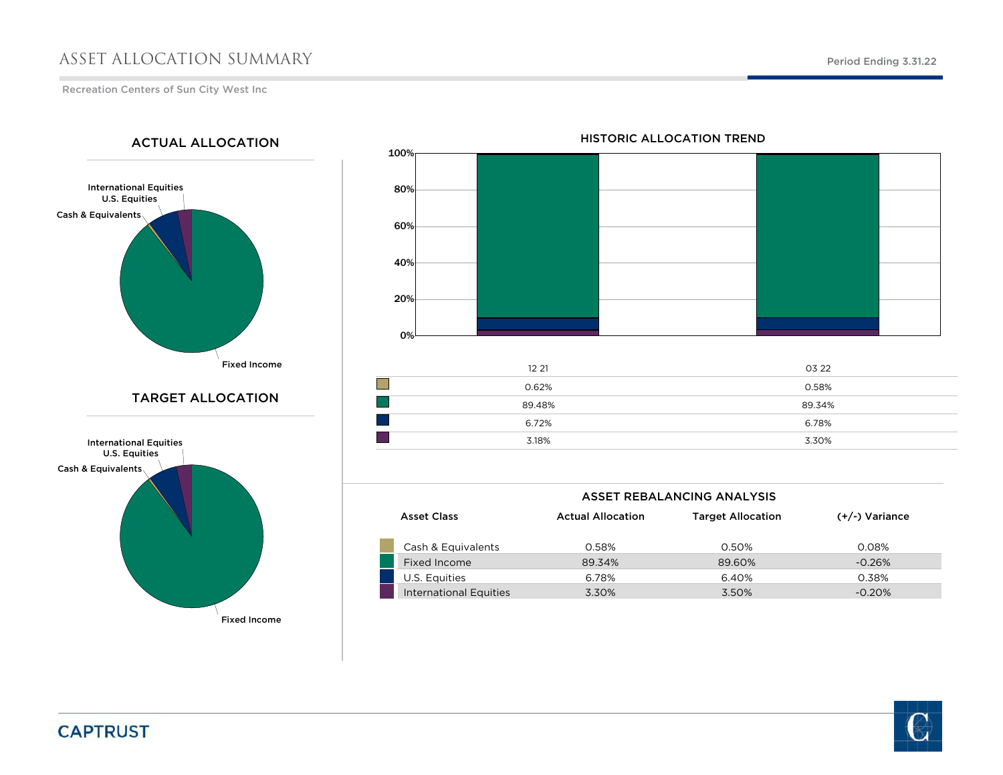## ASSET ALLOCATION SUMMARY

ACTUAL ALLOCATION

Recreation Centers of Sun City West Inc

International Equities U.S. Equities

Cash & Equivalents

3.30%

100% 80%60%40%20%0%12 21 03 22  $\mathbb{R}^n$ 0.62% $\%$  0.58% 89.48% 89.34% 6.72%6.78%

## HISTORIC ALLOCATION TREND



Fixed Income

|                        |                          | ASSET REBALANCING ANALYSIS |                  |
|------------------------|--------------------------|----------------------------|------------------|
| <b>Asset Class</b>     | <b>Actual Allocation</b> | <b>Target Allocation</b>   | $(+/-)$ Variance |
| Cash & Equivalents     | 0.58%                    | 0.50%                      | 0.08%            |
| Fixed Income           | 89.34%                   | 89.60%                     | $-0.26%$         |
| U.S. Equities          | 6.78%                    | 6.40%                      | 0.38%            |
| International Equities | 3.30%                    | 3.50%                      | $-0.20%$         |

3.18%

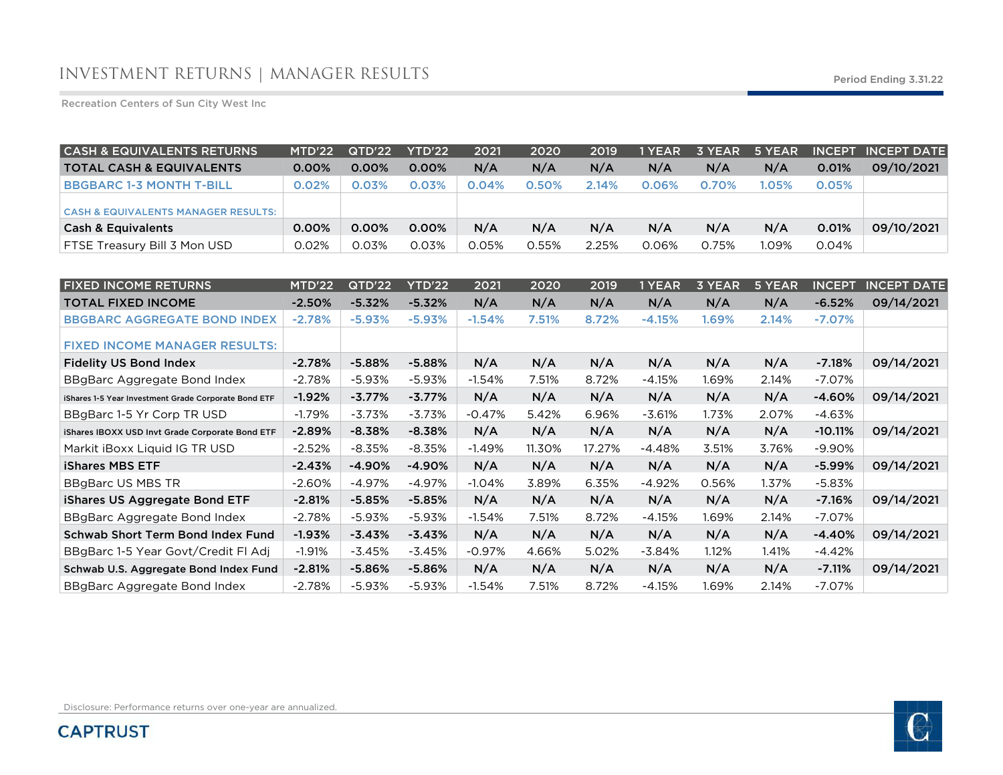Recreation Centers of Sun City West Inc

| <b>CASH &amp; EQUIVALENTS RETURNS</b>          | MTD'22   | QTD'22   | <b>YTD'22</b> | 2021  | 2020  | 2019  | 1 YEAR | 3 YEAR | 5 YEAR |       | <b>INCEPT INCEPT DATE</b> |
|------------------------------------------------|----------|----------|---------------|-------|-------|-------|--------|--------|--------|-------|---------------------------|
| <b>TOTAL CASH &amp; EQUIVALENTS</b>            | $0.00\%$ | $0.00\%$ | $0.00\%$      | N/A   | N/A   | N/A   | N/A    | N/A    | N/A    | 0.01% | 09/10/2021                |
| <b>BBGBARC 1-3 MONTH T-BILL</b>                | 0.02%    | 0.03%    | 0.03%         | 0.04% | 0.50% | 2.14% | 0.06%  | 0.70%  | 1.05%  | 0.05% |                           |
| <b>CASH &amp; EQUIVALENTS MANAGER RESULTS:</b> |          |          |               |       |       |       |        |        |        |       |                           |
| <b>Cash &amp; Equivalents</b>                  | 0.00%    | 0.00%    | $0.00\%$      | N/A   | N/A   | N/A   | N/A    | N/A    | N/A    | 0.01% | 09/10/2021                |
| FTSE Treasury Bill 3 Mon USD                   | 0.02%    | 0.03%    | 0.03%         | 0.05% | 0.55% | 2.25% | 0.06%  | 0.75%  | 1.09%  | 0.04% |                           |

| <b>FIXED INCOME RETURNS</b>                          | MTD'22   | QTD'22   | YTD'22   | 2021     | 2020   | 2019   | 1 YEAR   | <b>3 YEAR</b> | 5 YEAR | <b>INCEPT</b> | <b>INCEPT DATE</b> |
|------------------------------------------------------|----------|----------|----------|----------|--------|--------|----------|---------------|--------|---------------|--------------------|
| <b>TOTAL FIXED INCOME</b>                            | $-2.50%$ | $-5.32%$ | $-5.32%$ | N/A      | N/A    | N/A    | N/A      | N/A           | N/A    | $-6.52%$      | 09/14/2021         |
| <b>BBGBARC AGGREGATE BOND INDEX</b>                  | $-2.78%$ | $-5.93%$ | $-5.93%$ | $-1.54%$ | 7.51%  | 8.72%  | $-4.15%$ | 1.69%         | 2.14%  | $-7.07%$      |                    |
| <b>FIXED INCOME MANAGER RESULTS:</b>                 |          |          |          |          |        |        |          |               |        |               |                    |
| <b>Fidelity US Bond Index</b>                        | $-2.78%$ | $-5.88%$ | $-5.88%$ | N/A      | N/A    | N/A    | N/A      | N/A           | N/A    | $-7.18%$      | 09/14/2021         |
| BBgBarc Aggregate Bond Index                         | $-2.78%$ | $-5.93%$ | $-5.93%$ | $-1.54%$ | 7.51%  | 8.72%  | $-4.15%$ | 1.69%         | 2.14%  | $-7.07%$      |                    |
| iShares 1-5 Year Investment Grade Corporate Bond ETF | $-1.92%$ | $-3.77%$ | $-3.77%$ | N/A      | N/A    | N/A    | N/A      | N/A           | N/A    | $-4.60%$      | 09/14/2021         |
| BBgBarc 1-5 Yr Corp TR USD                           | $-1.79%$ | $-3.73%$ | $-3.73%$ | $-0.47%$ | 5.42%  | 6.96%  | $-3.61%$ | 1.73%         | 2.07%  | -4.63%        |                    |
| iShares IBOXX USD Invt Grade Corporate Bond ETF      | $-2.89%$ | $-8.38%$ | $-8.38%$ | N/A      | N/A    | N/A    | N/A      | N/A           | N/A    | $-10.11%$     | 09/14/2021         |
| Markit iBoxx Liquid IG TR USD                        | $-2.52%$ | $-8.35%$ | $-8.35%$ | $-1.49%$ | 11.30% | 17.27% | $-4.48%$ | 3.51%         | 3.76%  | $-9.90%$      |                    |
| <b>iShares MBS ETF</b>                               | $-2.43%$ | $-4.90%$ | $-4.90%$ | N/A      | N/A    | N/A    | N/A      | N/A           | N/A    | $-5.99%$      | 09/14/2021         |
| <b>BBgBarc US MBS TR</b>                             | $-2.60%$ | $-4.97%$ | $-4.97%$ | $-1.04%$ | 3.89%  | 6.35%  | $-4.92%$ | 0.56%         | 1.37%  | $-5.83%$      |                    |
| iShares US Aggregate Bond ETF                        | $-2.81%$ | $-5.85%$ | $-5.85%$ | N/A      | N/A    | N/A    | N/A      | N/A           | N/A    | $-7.16%$      | 09/14/2021         |
| BBgBarc Aggregate Bond Index                         | $-2.78%$ | $-5.93%$ | $-5.93%$ | $-1.54%$ | 7.51%  | 8.72%  | $-4.15%$ | 1.69%         | 2.14%  | $-7.07\%$     |                    |
| Schwab Short Term Bond Index Fund                    | $-1.93%$ | $-3.43%$ | $-3.43%$ | N/A      | N/A    | N/A    | N/A      | N/A           | N/A    | $-4.40%$      | 09/14/2021         |
| BBgBarc 1-5 Year Govt/Credit FI Adj                  | $-1.91%$ | $-3.45%$ | $-3.45%$ | $-0.97%$ | 4.66%  | 5.02%  | $-3.84%$ | 1.12%         | 1.41%  | $-4.42%$      |                    |
| Schwab U.S. Aggregate Bond Index Fund                | $-2.81%$ | $-5.86%$ | $-5.86%$ | N/A      | N/A    | N/A    | N/A      | N/A           | N/A    | $-7.11%$      | 09/14/2021         |
| BBgBarc Aggregate Bond Index                         | $-2.78%$ | $-5.93%$ | $-5.93%$ | $-1.54%$ | 7.51%  | 8.72%  | $-4.15%$ | 1.69%         | 2.14%  | $-7.07\%$     |                    |

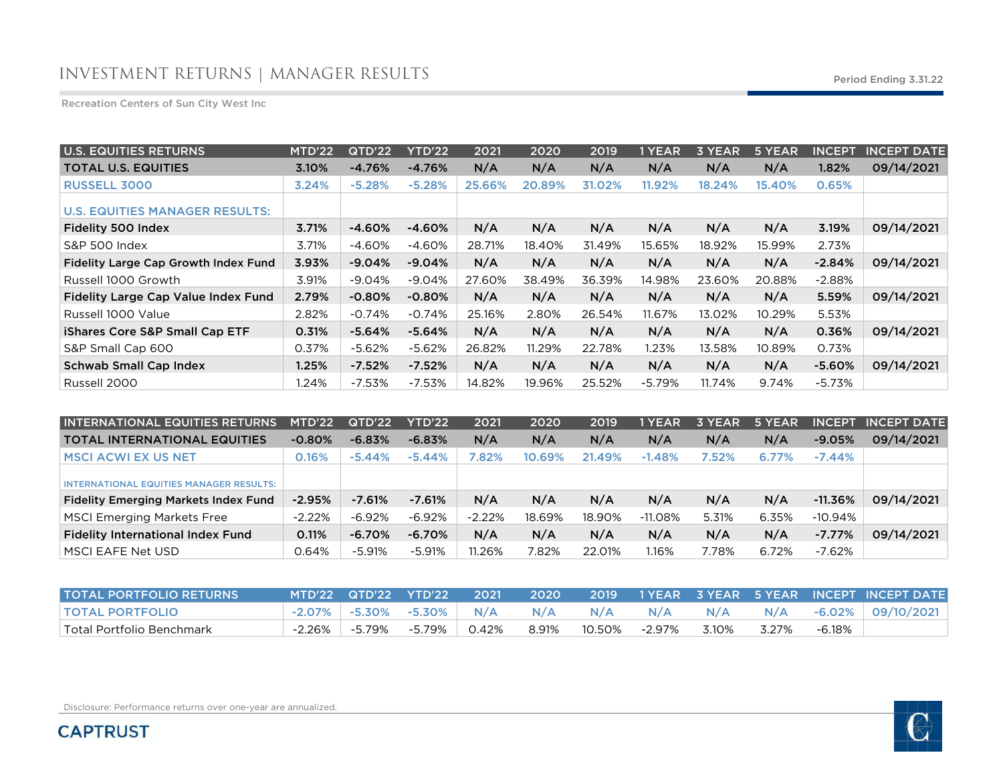Recreation Centers of Sun City West Inc

| <b>U.S. EQUITIES RETURNS</b>                | MTD'22 | QTD'22   | <b>YTD'22</b> | 2021   | 2020   | 2019   | 1 YEAR   | 3 YEAR | 5 YEAR | <b>INCEPT</b> | <b>INCEPT DATE</b> |
|---------------------------------------------|--------|----------|---------------|--------|--------|--------|----------|--------|--------|---------------|--------------------|
| <b>TOTAL U.S. EQUITIES</b>                  | 3.10%  | $-4.76%$ | $-4.76%$      | N/A    | N/A    | N/A    | N/A      | N/A    | N/A    | 1.82%         | 09/14/2021         |
| <b>RUSSELL 3000</b>                         | 3.24%  | $-5.28%$ | $-5.28%$      | 25.66% | 20.89% | 31.02% | 11.92%   | 18.24% | 15.40% | 0.65%         |                    |
| <b>U.S. EQUITIES MANAGER RESULTS:</b>       |        |          |               |        |        |        |          |        |        |               |                    |
| Fidelity 500 Index                          | 3.71%  | $-4.60%$ | $-4.60%$      | N/A    | N/A    | N/A    | N/A      | N/A    | N/A    | 3.19%         | 09/14/2021         |
| <b>S&amp;P 500 Index</b>                    | 3.71%  | -4.60%   | $-4.60%$      | 28.71% | 18.40% | 31.49% | 15.65%   | 18.92% | 15.99% | 2.73%         |                    |
| <b>Fidelity Large Cap Growth Index Fund</b> | 3.93%  | $-9.04%$ | $-9.04%$      | N/A    | N/A    | N/A    | N/A      | N/A    | N/A    | $-2.84%$      | 09/14/2021         |
| Russell 1000 Growth                         | 3.91%  | $-9.04%$ | $-9.04%$      | 27.60% | 38.49% | 36.39% | 14.98%   | 23.60% | 20.88% | $-2.88\%$     |                    |
| Fidelity Large Cap Value Index Fund         | 2.79%  | $-0.80%$ | $-0.80%$      | N/A    | N/A    | N/A    | N/A      | N/A    | N/A    | 5.59%         | 09/14/2021         |
| Russell 1000 Value                          | 2.82%  | $-0.74%$ | $-0.74%$      | 25.16% | 2.80%  | 26.54% | 11.67%   | 13.02% | 10.29% | 5.53%         |                    |
| <b>iShares Core S&amp;P Small Cap ETF</b>   | 0.31%  | $-5.64%$ | $-5.64%$      | N/A    | N/A    | N/A    | N/A      | N/A    | N/A    | 0.36%         | 09/14/2021         |
| S&P Small Cap 600                           | 0.37%  | $-5.62%$ | $-5.62%$      | 26.82% | 11.29% | 22.78% | 1.23%    | 13.58% | 10.89% | 0.73%         |                    |
| <b>Schwab Small Cap Index</b>               | 1.25%  | $-7.52%$ | $-7.52%$      | N/A    | N/A    | N/A    | N/A      | N/A    | N/A    | $-5.60%$      | 09/14/2021         |
| Russell 2000                                | 1.24%  | $-7.53%$ | $-7.53%$      | 14.82% | 19.96% | 25.52% | $-5.79%$ | 11.74% | 9.74%  | -5.73%        |                    |

| <b>INTERNATIONAL EQUITIES RETURNS</b>          | MTD'22   | QTD'22    | YTD'22    | 2021     | 2020   | 2019   | 1 YEAR    | 3 YEAR | 5 YEAR | <b>INCEPT</b> | <b>INCEPT DATE</b> |
|------------------------------------------------|----------|-----------|-----------|----------|--------|--------|-----------|--------|--------|---------------|--------------------|
| <b>TOTAL INTERNATIONAL EQUITIES</b>            | $-0.80%$ | $-6.83%$  | $-6.83%$  | N/A      | N/A    | N/A    | N/A       | N/A    | N/A    | $-9.05%$      | 09/14/2021         |
| <b>MSCI ACWI EX US NET</b>                     | 0.16%    | $-5.44\%$ | $-5.44%$  | 7.82%    | 10.69% | 21.49% | $-1.48%$  | 7.52%  | 6.77%  | $-7.44\%$     |                    |
| <b>INTERNATIONAL EQUITIES MANAGER RESULTS:</b> |          |           |           |          |        |        |           |        |        |               |                    |
| <b>Fidelity Emerging Markets Index Fund</b>    | $-2.95%$ | $-7.61%$  | $-7.61\%$ | N/A      | N/A    | N/A    | N/A       | N/A    | N/A    | $-11.36%$     | 09/14/2021         |
| <b>MSCI Emerging Markets Free</b>              | $-2.22%$ | $-6.92%$  | $-6.92%$  | $-2.22%$ | 18.69% | 18.90% | $-11.08%$ | 5.31%  | 6.35%  | $-10.94%$     |                    |
| <b>Fidelity International Index Fund</b>       | 0.11%    | $-6.70%$  | $-6.70%$  | N/A      | N/A    | N/A    | N/A       | N/A    | N/A    | $-7.77\%$     | 09/14/2021         |
| MSCI EAFE Net USD                              | 0.64%    | -5.91%    | $-5.91%$  | 11.26%   | 7.82%  | 22.01% | l.16%     | 7.78%  | 6.72%  | -7.62%        |                    |

| <b>TOTAL PORTFOLIO RETURNS</b> | MTD'22 QTD'22 YTD'22 \       | 2021     | <b>2020</b> |                       |     |       |       |        |  |
|--------------------------------|------------------------------|----------|-------------|-----------------------|-----|-------|-------|--------|--|
| <b>TOTAL PORTFOLIO</b>         | -2.07% -5.30% -5.30% N/A N/A |          |             | N/A                   | N/A |       |       |        |  |
| Total Portfolio Benchmark      | -2.26% -5.79% -5.79%         | $0.42\%$ |             | 8.91%  10.50%  -2.97% |     | 3.10% | 3.27% | -6.18% |  |